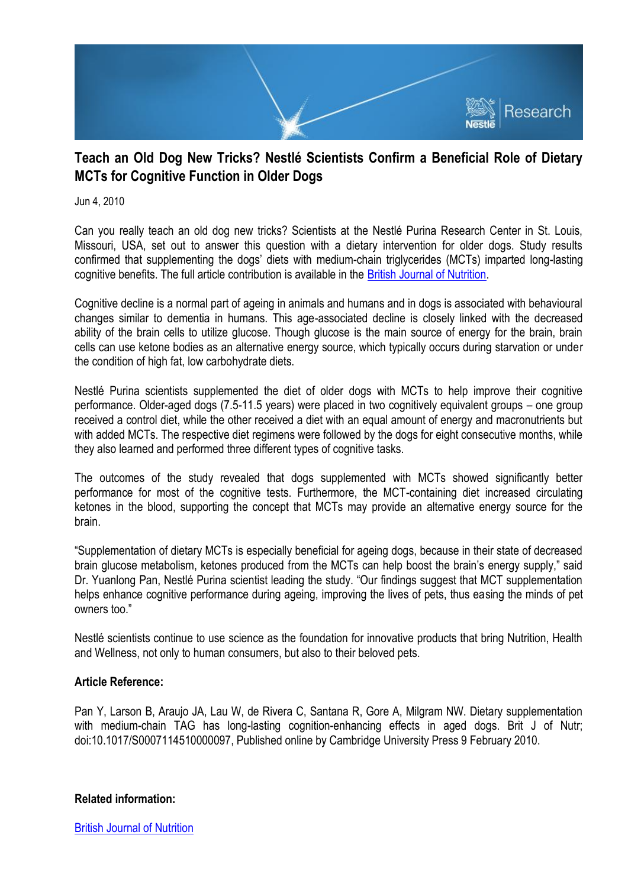

## **Teach an Old Dog New Tricks? Nestlé Scientists Confirm a Beneficial Role of Dietary MCTs for Cognitive Function in Older Dogs**

Jun 4, 2010

Can you really teach an old dog new tricks? Scientists at the Nestlé Purina Research Center in St. Louis, Missouri, USA, set out to answer this question with a dietary intervention for older dogs. Study results confirmed that supplementing the dogs' diets with medium-chain triglycerides (MCTs) imparted long-lasting cognitive benefits. The full article contribution is available in the [British Journal of Nutrition.](http://journals.cambridge.org/action/displayAbstract?fromPage=online&aid=7229844)

Cognitive decline is a normal part of ageing in animals and humans and in dogs is associated with behavioural changes similar to dementia in humans. This age-associated decline is closely linked with the decreased ability of the brain cells to utilize glucose. Though glucose is the main source of energy for the brain, brain cells can use ketone bodies as an alternative energy source, which typically occurs during starvation or under the condition of high fat, low carbohydrate diets.

Nestlé Purina scientists supplemented the diet of older dogs with MCTs to help improve their cognitive performance. Older-aged dogs (7.5-11.5 years) were placed in two cognitively equivalent groups – one group received a control diet, while the other received a diet with an equal amount of energy and macronutrients but with added MCTs. The respective diet regimens were followed by the dogs for eight consecutive months, while they also learned and performed three different types of cognitive tasks.

The outcomes of the study revealed that dogs supplemented with MCTs showed significantly better performance for most of the cognitive tests. Furthermore, the MCT-containing diet increased circulating ketones in the blood, supporting the concept that MCTs may provide an alternative energy source for the brain.

"Supplementation of dietary MCTs is especially beneficial for ageing dogs, because in their state of decreased brain glucose metabolism, ketones produced from the MCTs can help boost the brain's energy supply," said Dr. Yuanlong Pan, Nestlé Purina scientist leading the study. "Our findings suggest that MCT supplementation helps enhance cognitive performance during ageing, improving the lives of pets, thus easing the minds of pet owners too."

Nestlé scientists continue to use science as the foundation for innovative products that bring Nutrition, Health and Wellness, not only to human consumers, but also to their beloved pets.

## **Article Reference:**

Pan Y, Larson B, Araujo JA, Lau W, de Rivera C, Santana R, Gore A, Milgram NW. Dietary supplementation with medium-chain TAG has long-lasting cognition-enhancing effects in aged dogs. Brit J of Nutr; doi:10.1017/S0007114510000097, Published online by Cambridge University Press 9 February 2010.

## **Related information:**